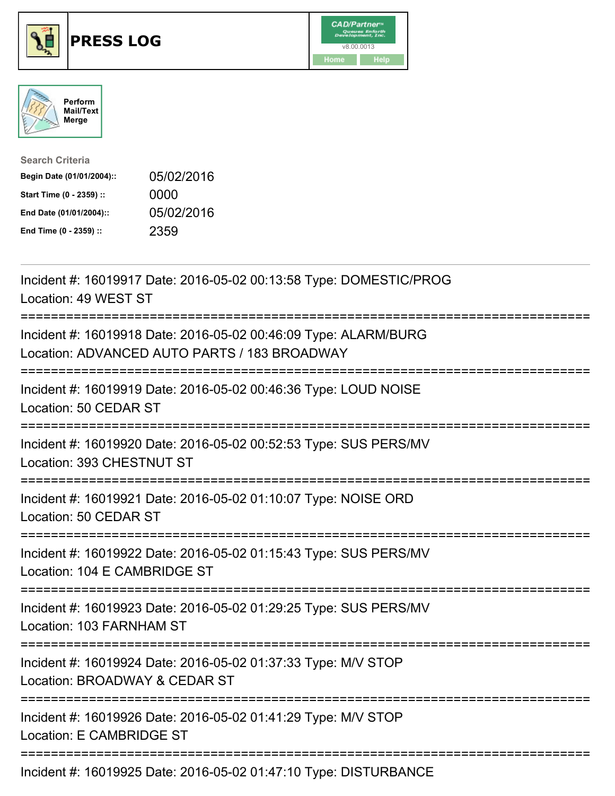

## **PRESS LOG** v8.00.0013





| <b>Search Criteria</b>    |            |
|---------------------------|------------|
| Begin Date (01/01/2004):: | 05/02/2016 |
| Start Time (0 - 2359) ::  | 0000       |
| End Date (01/01/2004)::   | 05/02/2016 |
| End Time (0 - 2359) ::    | 2359       |

Incident #: 16019917 Date: 2016-05-02 00:13:58 Type: DOMESTIC/PROG Location: 49 WEST ST =========================================================================== Incident #: 16019918 Date: 2016-05-02 00:46:09 Type: ALARM/BURG Location: ADVANCED AUTO PARTS / 183 BROADWAY =========================================================================== Incident #: 16019919 Date: 2016-05-02 00:46:36 Type: LOUD NOISE Location: 50 CEDAR ST =========================================================================== Incident #: 16019920 Date: 2016-05-02 00:52:53 Type: SUS PERS/MV Location: 393 CHESTNUT ST =========================================================================== Incident #: 16019921 Date: 2016-05-02 01:10:07 Type: NOISE ORD Location: 50 CEDAR ST =========================================================================== Incident #: 16019922 Date: 2016-05-02 01:15:43 Type: SUS PERS/MV Location: 104 E CAMBRIDGE ST =========================================================================== Incident #: 16019923 Date: 2016-05-02 01:29:25 Type: SUS PERS/MV Location: 103 FARNHAM ST =========================================================================== Incident #: 16019924 Date: 2016-05-02 01:37:33 Type: M/V STOP Location: BROADWAY & CEDAR ST =========================================================================== Incident #: 16019926 Date: 2016-05-02 01:41:29 Type: M/V STOP Location: E CAMBRIDGE ST ===========================================================================

Incident #: 16019925 Date: 2016-05-02 01:47:10 Type: DISTURBANCE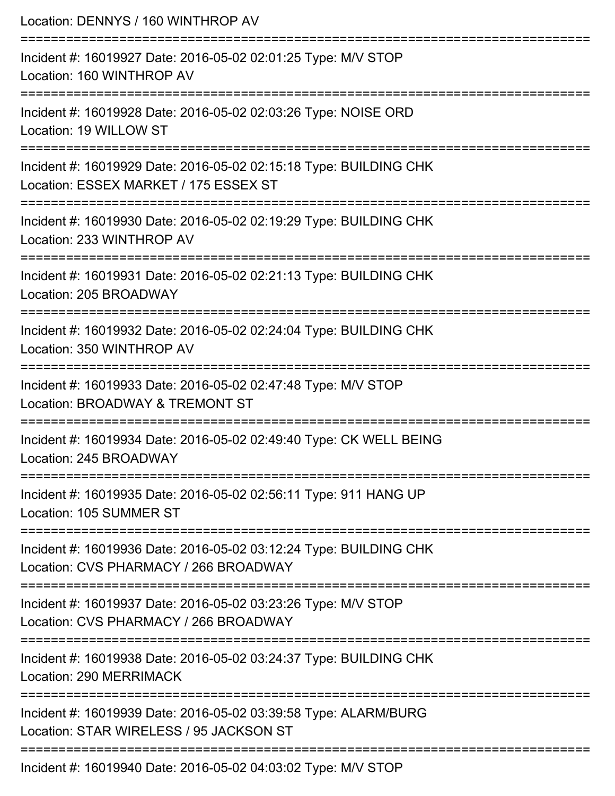| Location: DENNYS / 160 WINTHROP AV                                                                         |
|------------------------------------------------------------------------------------------------------------|
| Incident #: 16019927 Date: 2016-05-02 02:01:25 Type: M/V STOP<br>Location: 160 WINTHROP AV                 |
| Incident #: 16019928 Date: 2016-05-02 02:03:26 Type: NOISE ORD<br>Location: 19 WILLOW ST                   |
| Incident #: 16019929 Date: 2016-05-02 02:15:18 Type: BUILDING CHK<br>Location: ESSEX MARKET / 175 ESSEX ST |
| Incident #: 16019930 Date: 2016-05-02 02:19:29 Type: BUILDING CHK<br>Location: 233 WINTHROP AV             |
| Incident #: 16019931 Date: 2016-05-02 02:21:13 Type: BUILDING CHK<br>Location: 205 BROADWAY                |
| Incident #: 16019932 Date: 2016-05-02 02:24:04 Type: BUILDING CHK<br>Location: 350 WINTHROP AV             |
| Incident #: 16019933 Date: 2016-05-02 02:47:48 Type: M/V STOP<br>Location: BROADWAY & TREMONT ST           |
| Incident #: 16019934 Date: 2016-05-02 02:49:40 Type: CK WELL BEING<br>Location: 245 BROADWAY               |
| Incident #: 16019935 Date: 2016-05-02 02:56:11 Type: 911 HANG UP<br>Location: 105 SUMMER ST                |
| Incident #: 16019936 Date: 2016-05-02 03:12:24 Type: BUILDING CHK<br>Location: CVS PHARMACY / 266 BROADWAY |
| Incident #: 16019937 Date: 2016-05-02 03:23:26 Type: M/V STOP<br>Location: CVS PHARMACY / 266 BROADWAY     |
| Incident #: 16019938 Date: 2016-05-02 03:24:37 Type: BUILDING CHK<br>Location: 290 MERRIMACK               |
| Incident #: 16019939 Date: 2016-05-02 03:39:58 Type: ALARM/BURG<br>Location: STAR WIRELESS / 95 JACKSON ST |
| Incident #: 16019940 Date: 2016-05-02 04:03:02 Type: M/V STOP                                              |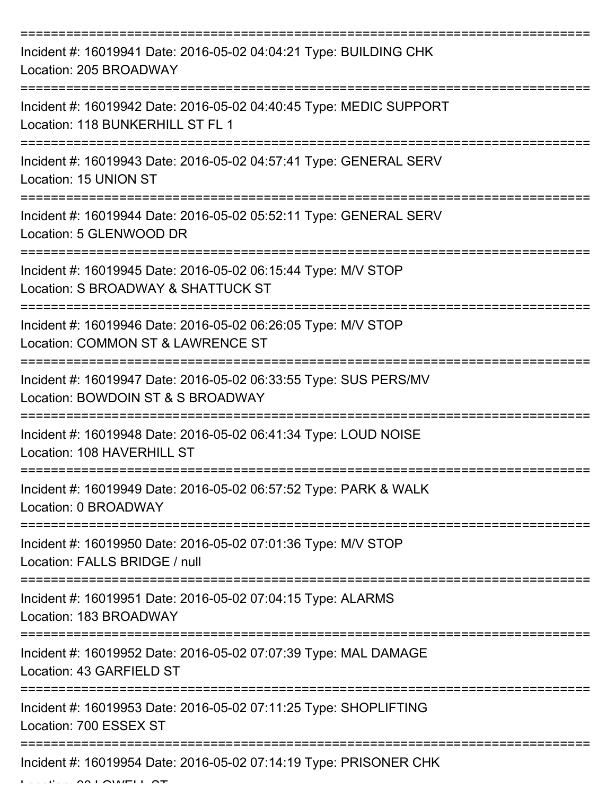| Incident #: 16019941 Date: 2016-05-02 04:04:21 Type: BUILDING CHK<br>Location: 205 BROADWAY            |
|--------------------------------------------------------------------------------------------------------|
| Incident #: 16019942 Date: 2016-05-02 04:40:45 Type: MEDIC SUPPORT<br>Location: 118 BUNKERHILL ST FL 1 |
| Incident #: 16019943 Date: 2016-05-02 04:57:41 Type: GENERAL SERV<br>Location: 15 UNION ST             |
| Incident #: 16019944 Date: 2016-05-02 05:52:11 Type: GENERAL SERV<br>Location: 5 GLENWOOD DR           |
| Incident #: 16019945 Date: 2016-05-02 06:15:44 Type: M/V STOP<br>Location: S BROADWAY & SHATTUCK ST    |
| Incident #: 16019946 Date: 2016-05-02 06:26:05 Type: M/V STOP<br>Location: COMMON ST & LAWRENCE ST     |
| Incident #: 16019947 Date: 2016-05-02 06:33:55 Type: SUS PERS/MV<br>Location: BOWDOIN ST & S BROADWAY  |
| Incident #: 16019948 Date: 2016-05-02 06:41:34 Type: LOUD NOISE<br>Location: 108 HAVERHILL ST          |
| Incident #: 16019949 Date: 2016-05-02 06:57:52 Type: PARK & WALK<br>Location: 0 BROADWAY               |
| Incident #: 16019950 Date: 2016-05-02 07:01:36 Type: M/V STOP<br>Location: FALLS BRIDGE / null         |
| Incident #: 16019951 Date: 2016-05-02 07:04:15 Type: ALARMS<br>Location: 183 BROADWAY                  |
| Incident #: 16019952 Date: 2016-05-02 07:07:39 Type: MAL DAMAGE<br>Location: 43 GARFIELD ST            |
| Incident #: 16019953 Date: 2016-05-02 07:11:25 Type: SHOPLIFTING<br>Location: 700 ESSEX ST             |
| Incident #: 16019954 Date: 2016-05-02 07:14:19 Type: PRISONER CHK                                      |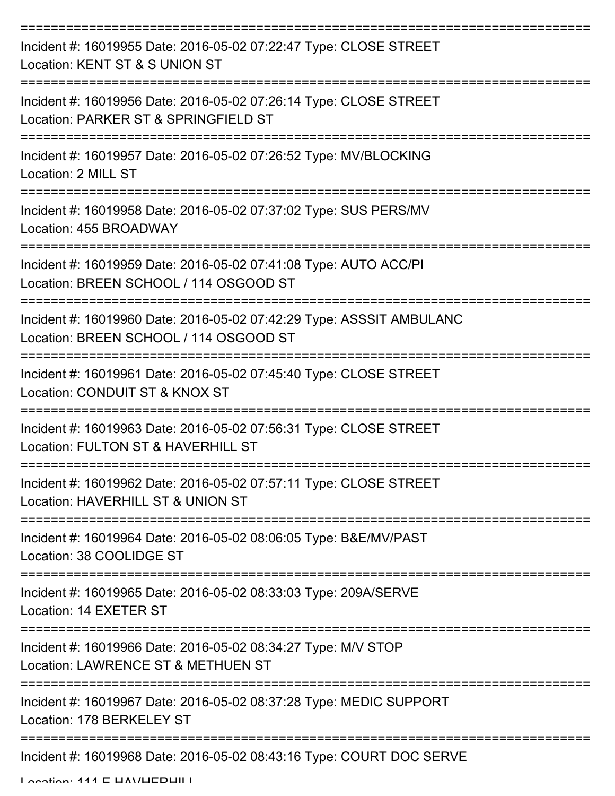| Incident #: 16019955 Date: 2016-05-02 07:22:47 Type: CLOSE STREET<br>Location: KENT ST & S UNION ST            |
|----------------------------------------------------------------------------------------------------------------|
| Incident #: 16019956 Date: 2016-05-02 07:26:14 Type: CLOSE STREET<br>Location: PARKER ST & SPRINGFIELD ST      |
| Incident #: 16019957 Date: 2016-05-02 07:26:52 Type: MV/BLOCKING<br>Location: 2 MILL ST                        |
| Incident #: 16019958 Date: 2016-05-02 07:37:02 Type: SUS PERS/MV<br>Location: 455 BROADWAY                     |
| Incident #: 16019959 Date: 2016-05-02 07:41:08 Type: AUTO ACC/PI<br>Location: BREEN SCHOOL / 114 OSGOOD ST     |
| Incident #: 16019960 Date: 2016-05-02 07:42:29 Type: ASSSIT AMBULANC<br>Location: BREEN SCHOOL / 114 OSGOOD ST |
| Incident #: 16019961 Date: 2016-05-02 07:45:40 Type: CLOSE STREET<br>Location: CONDUIT ST & KNOX ST            |
| Incident #: 16019963 Date: 2016-05-02 07:56:31 Type: CLOSE STREET<br>Location: FULTON ST & HAVERHILL ST        |
| Incident #: 16019962 Date: 2016-05-02 07:57:11 Type: CLOSE STREET<br>Location: HAVERHILL ST & UNION ST         |
| Incident #: 16019964 Date: 2016-05-02 08:06:05 Type: B&E/MV/PAST<br>Location: 38 COOLIDGE ST                   |
| Incident #: 16019965 Date: 2016-05-02 08:33:03 Type: 209A/SERVE<br>Location: 14 EXETER ST                      |
| Incident #: 16019966 Date: 2016-05-02 08:34:27 Type: M/V STOP<br>Location: LAWRENCE ST & METHUEN ST            |
| Incident #: 16019967 Date: 2016-05-02 08:37:28 Type: MEDIC SUPPORT<br>Location: 178 BERKELEY ST                |
| Incident #: 16019968 Date: 2016-05-02 08:43:16 Type: COURT DOC SERVE                                           |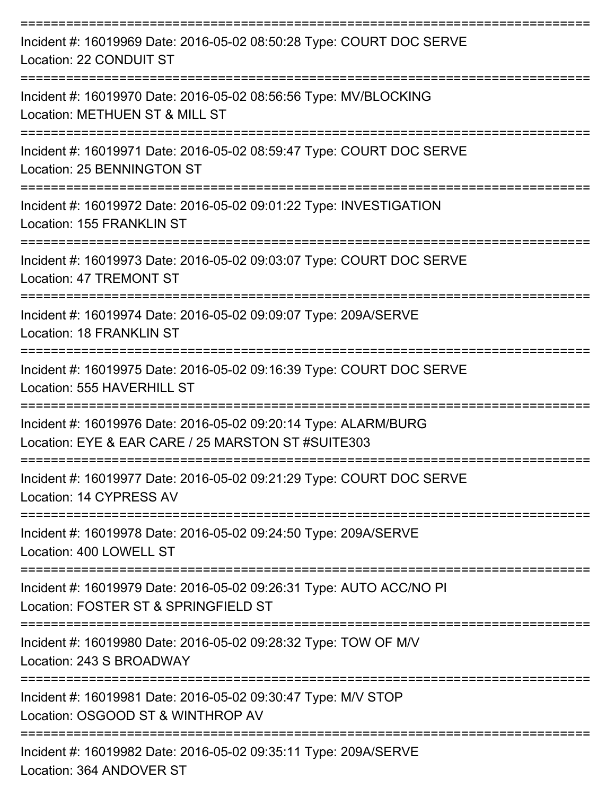| Incident #: 16019969 Date: 2016-05-02 08:50:28 Type: COURT DOC SERVE<br>Location: 22 CONDUIT ST                       |
|-----------------------------------------------------------------------------------------------------------------------|
| Incident #: 16019970 Date: 2016-05-02 08:56:56 Type: MV/BLOCKING<br>Location: METHUEN ST & MILL ST                    |
| Incident #: 16019971 Date: 2016-05-02 08:59:47 Type: COURT DOC SERVE<br><b>Location: 25 BENNINGTON ST</b>             |
| Incident #: 16019972 Date: 2016-05-02 09:01:22 Type: INVESTIGATION<br>Location: 155 FRANKLIN ST                       |
| Incident #: 16019973 Date: 2016-05-02 09:03:07 Type: COURT DOC SERVE<br><b>Location: 47 TREMONT ST</b>                |
| Incident #: 16019974 Date: 2016-05-02 09:09:07 Type: 209A/SERVE<br>Location: 18 FRANKLIN ST<br>------------------     |
| Incident #: 16019975 Date: 2016-05-02 09:16:39 Type: COURT DOC SERVE<br>Location: 555 HAVERHILL ST                    |
| Incident #: 16019976 Date: 2016-05-02 09:20:14 Type: ALARM/BURG<br>Location: EYE & EAR CARE / 25 MARSTON ST #SUITE303 |
| Incident #: 16019977 Date: 2016-05-02 09:21:29 Type: COURT DOC SERVE<br>Location: 14 CYPRESS AV                       |
| Incident #: 16019978 Date: 2016-05-02 09:24:50 Type: 209A/SERVE<br>Location: 400 LOWELL ST                            |
| Incident #: 16019979 Date: 2016-05-02 09:26:31 Type: AUTO ACC/NO PI<br>Location: FOSTER ST & SPRINGFIELD ST           |
| Incident #: 16019980 Date: 2016-05-02 09:28:32 Type: TOW OF M/V<br>Location: 243 S BROADWAY                           |
| Incident #: 16019981 Date: 2016-05-02 09:30:47 Type: M/V STOP<br>Location: OSGOOD ST & WINTHROP AV                    |
| Incident #: 16019982 Date: 2016-05-02 09:35:11 Type: 209A/SERVE                                                       |

Location: 364 ANDOVER ST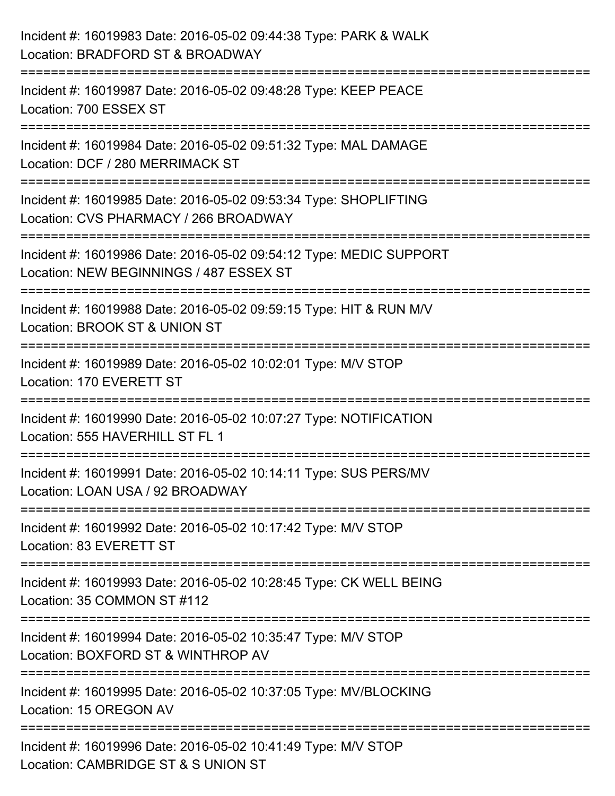| Incident #: 16019983 Date: 2016-05-02 09:44:38 Type: PARK & WALK<br>Location: BRADFORD ST & BROADWAY                                         |
|----------------------------------------------------------------------------------------------------------------------------------------------|
| :=======================<br>Incident #: 16019987 Date: 2016-05-02 09:48:28 Type: KEEP PEACE<br>Location: 700 ESSEX ST                        |
| Incident #: 16019984 Date: 2016-05-02 09:51:32 Type: MAL DAMAGE<br>Location: DCF / 280 MERRIMACK ST                                          |
| Incident #: 16019985 Date: 2016-05-02 09:53:34 Type: SHOPLIFTING<br>Location: CVS PHARMACY / 266 BROADWAY<br>------------------------------- |
| Incident #: 16019986 Date: 2016-05-02 09:54:12 Type: MEDIC SUPPORT<br>Location: NEW BEGINNINGS / 487 ESSEX ST                                |
| Incident #: 16019988 Date: 2016-05-02 09:59:15 Type: HIT & RUN M/V<br>Location: BROOK ST & UNION ST                                          |
| :========================<br>Incident #: 16019989 Date: 2016-05-02 10:02:01 Type: M/V STOP<br>Location: 170 EVERETT ST                       |
| Incident #: 16019990 Date: 2016-05-02 10:07:27 Type: NOTIFICATION<br>Location: 555 HAVERHILL ST FL 1                                         |
| Incident #: 16019991 Date: 2016-05-02 10:14:11 Type: SUS PERS/MV<br>Location: LOAN USA / 92 BROADWAY                                         |
| Incident #: 16019992 Date: 2016-05-02 10:17:42 Type: M/V STOP<br>Location: 83 EVERETT ST                                                     |
| Incident #: 16019993 Date: 2016-05-02 10:28:45 Type: CK WELL BEING<br>Location: 35 COMMON ST #112                                            |
| Incident #: 16019994 Date: 2016-05-02 10:35:47 Type: M/V STOP<br>Location: BOXFORD ST & WINTHROP AV                                          |
| Incident #: 16019995 Date: 2016-05-02 10:37:05 Type: MV/BLOCKING<br>Location: 15 OREGON AV                                                   |
| Incident #: 16019996 Date: 2016-05-02 10:41:49 Type: M/V STOP<br>Location: CAMBRIDGE ST & S UNION ST                                         |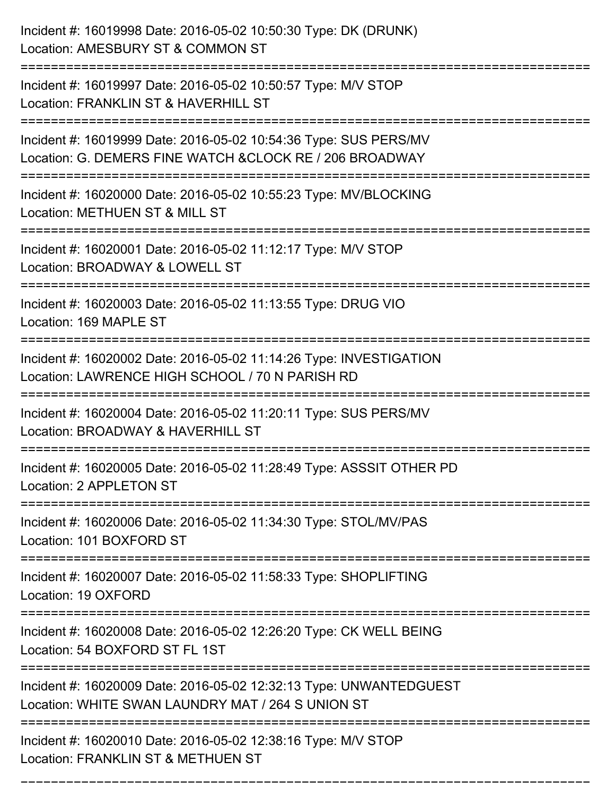| Incident #: 16019998 Date: 2016-05-02 10:50:30 Type: DK (DRUNK)<br>Location: AMESBURY ST & COMMON ST                         |
|------------------------------------------------------------------------------------------------------------------------------|
| Incident #: 16019997 Date: 2016-05-02 10:50:57 Type: M/V STOP<br>Location: FRANKLIN ST & HAVERHILL ST                        |
| Incident #: 16019999 Date: 2016-05-02 10:54:36 Type: SUS PERS/MV<br>Location: G. DEMERS FINE WATCH & CLOCK RE / 206 BROADWAY |
| Incident #: 16020000 Date: 2016-05-02 10:55:23 Type: MV/BLOCKING<br>Location: METHUEN ST & MILL ST                           |
| Incident #: 16020001 Date: 2016-05-02 11:12:17 Type: M/V STOP<br>Location: BROADWAY & LOWELL ST                              |
| Incident #: 16020003 Date: 2016-05-02 11:13:55 Type: DRUG VIO<br>Location: 169 MAPLE ST                                      |
| Incident #: 16020002 Date: 2016-05-02 11:14:26 Type: INVESTIGATION<br>Location: LAWRENCE HIGH SCHOOL / 70 N PARISH RD        |
| Incident #: 16020004 Date: 2016-05-02 11:20:11 Type: SUS PERS/MV<br>Location: BROADWAY & HAVERHILL ST                        |
| Incident #: 16020005 Date: 2016-05-02 11:28:49 Type: ASSSIT OTHER PD<br>Location: 2 APPLETON ST                              |
| Incident #: 16020006 Date: 2016-05-02 11:34:30 Type: STOL/MV/PAS<br>Location: 101 BOXFORD ST                                 |
| Incident #: 16020007 Date: 2016-05-02 11:58:33 Type: SHOPLIFTING<br>Location: 19 OXFORD                                      |
| Incident #: 16020008 Date: 2016-05-02 12:26:20 Type: CK WELL BEING<br>Location: 54 BOXFORD ST FL 1ST                         |
| Incident #: 16020009 Date: 2016-05-02 12:32:13 Type: UNWANTEDGUEST<br>Location: WHITE SWAN LAUNDRY MAT / 264 S UNION ST      |
| Incident #: 16020010 Date: 2016-05-02 12:38:16 Type: M/V STOP<br>Location: FRANKLIN ST & METHUEN ST                          |

===========================================================================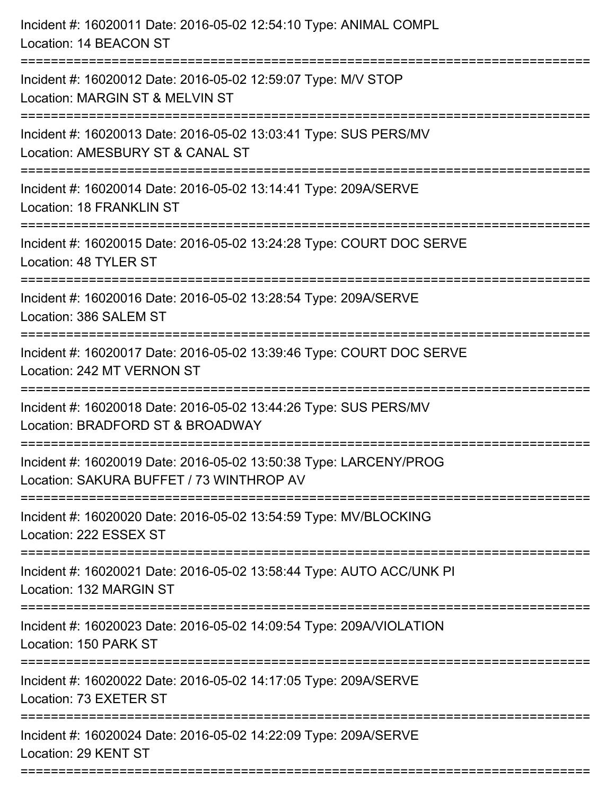| Incident #: 16020011 Date: 2016-05-02 12:54:10 Type: ANIMAL COMPL<br>Location: 14 BEACON ST                                                  |
|----------------------------------------------------------------------------------------------------------------------------------------------|
| Incident #: 16020012 Date: 2016-05-02 12:59:07 Type: M/V STOP<br>Location: MARGIN ST & MELVIN ST                                             |
| Incident #: 16020013 Date: 2016-05-02 13:03:41 Type: SUS PERS/MV<br>Location: AMESBURY ST & CANAL ST<br>==================================== |
| Incident #: 16020014 Date: 2016-05-02 13:14:41 Type: 209A/SERVE<br>Location: 18 FRANKLIN ST                                                  |
| Incident #: 16020015 Date: 2016-05-02 13:24:28 Type: COURT DOC SERVE<br>Location: 48 TYLER ST                                                |
| Incident #: 16020016 Date: 2016-05-02 13:28:54 Type: 209A/SERVE<br>Location: 386 SALEM ST                                                    |
| Incident #: 16020017 Date: 2016-05-02 13:39:46 Type: COURT DOC SERVE<br>Location: 242 MT VERNON ST<br>=======================                |
| Incident #: 16020018 Date: 2016-05-02 13:44:26 Type: SUS PERS/MV<br>Location: BRADFORD ST & BROADWAY                                         |
| Incident #: 16020019 Date: 2016-05-02 13:50:38 Type: LARCENY/PROG<br>Location: SAKURA BUFFET / 73 WINTHROP AV                                |
| Incident #: 16020020 Date: 2016-05-02 13:54:59 Type: MV/BLOCKING<br>Location: 222 ESSEX ST                                                   |
| Incident #: 16020021 Date: 2016-05-02 13:58:44 Type: AUTO ACC/UNK PI<br>Location: 132 MARGIN ST                                              |
| Incident #: 16020023 Date: 2016-05-02 14:09:54 Type: 209A/VIOLATION<br>Location: 150 PARK ST                                                 |
| Incident #: 16020022 Date: 2016-05-02 14:17:05 Type: 209A/SERVE<br>Location: 73 EXETER ST                                                    |
| Incident #: 16020024 Date: 2016-05-02 14:22:09 Type: 209A/SERVE<br>Location: 29 KENT ST                                                      |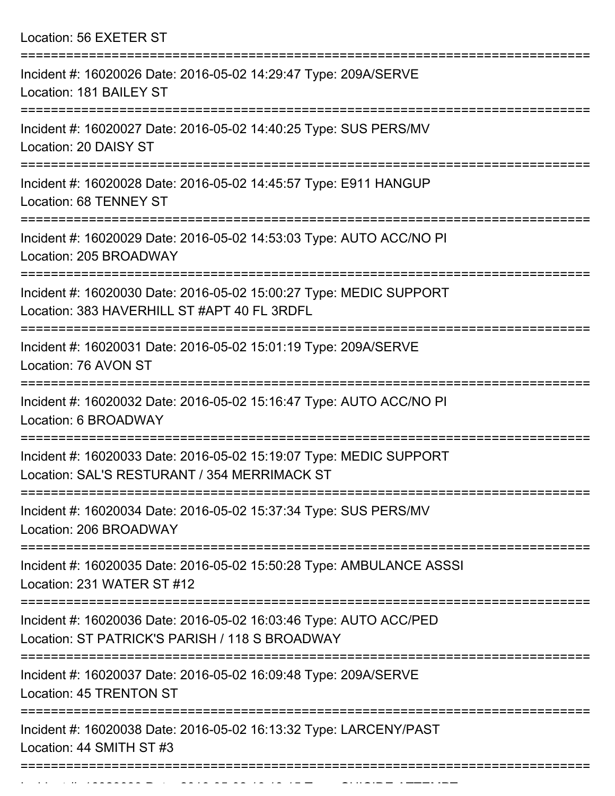Location: 56 EXETER ST =========================================================================== Incident #: 16020026 Date: 2016-05-02 14:29:47 Type: 209A/SERVE Location: 181 BAILEY ST =========================================================================== Incident #: 16020027 Date: 2016-05-02 14:40:25 Type: SUS PERS/MV Location: 20 DAISY ST =========================================================================== Incident #: 16020028 Date: 2016-05-02 14:45:57 Type: E911 HANGUP Location: 68 TENNEY ST =========================================================================== Incident #: 16020029 Date: 2016-05-02 14:53:03 Type: AUTO ACC/NO PI Location: 205 BROADWAY =========================================================================== Incident #: 16020030 Date: 2016-05-02 15:00:27 Type: MEDIC SUPPORT Location: 383 HAVERHILL ST #APT 40 FL 3RDFL =========================================================================== Incident #: 16020031 Date: 2016-05-02 15:01:19 Type: 209A/SERVE Location: 76 AVON ST =========================================================================== Incident #: 16020032 Date: 2016-05-02 15:16:47 Type: AUTO ACC/NO PI Location: 6 BROADWAY =========================================================================== Incident #: 16020033 Date: 2016-05-02 15:19:07 Type: MEDIC SUPPORT Location: SAL'S RESTURANT / 354 MERRIMACK ST =========================================================================== Incident #: 16020034 Date: 2016-05-02 15:37:34 Type: SUS PERS/MV Location: 206 BROADWAY =========================================================================== Incident #: 16020035 Date: 2016-05-02 15:50:28 Type: AMBULANCE ASSSI Location: 231 WATER ST #12 =========================================================================== Incident #: 16020036 Date: 2016-05-02 16:03:46 Type: AUTO ACC/PED Location: ST PATRICK'S PARISH / 118 S BROADWAY =========================================================================== Incident #: 16020037 Date: 2016-05-02 16:09:48 Type: 209A/SERVE Location: 45 TRENTON ST =========================================================================== Incident #: 16020038 Date: 2016-05-02 16:13:32 Type: LARCENY/PAST Location: 44 SMITH ST #3

Incident #: 16020039 Date: 2016 05 02 16:18:15 Type: SUICIDE ATTEMPT

===========================================================================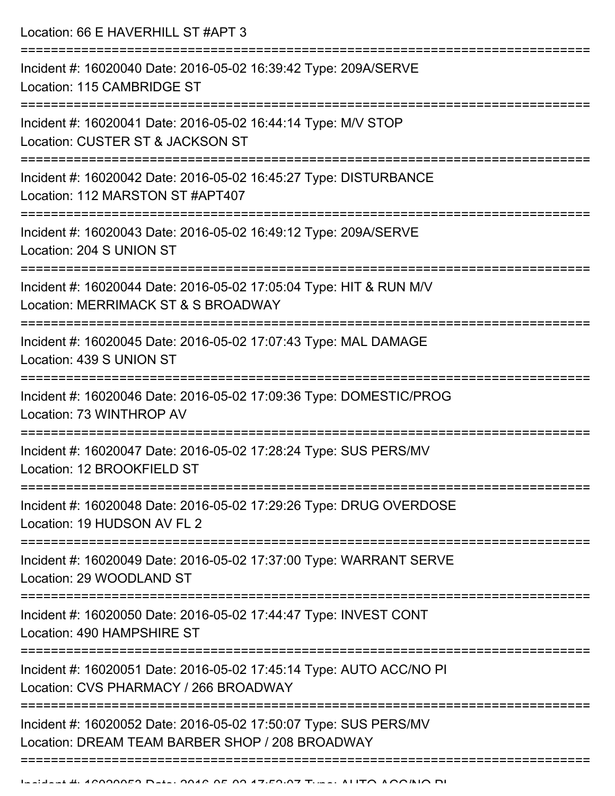Location: 66 E HAVERHILL ST #APT 3

| Incident #: 16020040 Date: 2016-05-02 16:39:42 Type: 209A/SERVE<br>Location: 115 CAMBRIDGE ST                                                       |
|-----------------------------------------------------------------------------------------------------------------------------------------------------|
|                                                                                                                                                     |
| Incident #: 16020041 Date: 2016-05-02 16:44:14 Type: M/V STOP<br>Location: CUSTER ST & JACKSON ST                                                   |
| Incident #: 16020042 Date: 2016-05-02 16:45:27 Type: DISTURBANCE<br>Location: 112 MARSTON ST #APT407                                                |
| Incident #: 16020043 Date: 2016-05-02 16:49:12 Type: 209A/SERVE<br>Location: 204 S UNION ST                                                         |
| Incident #: 16020044 Date: 2016-05-02 17:05:04 Type: HIT & RUN M/V<br>Location: MERRIMACK ST & S BROADWAY                                           |
| Incident #: 16020045 Date: 2016-05-02 17:07:43 Type: MAL DAMAGE<br>Location: 439 S UNION ST                                                         |
| Incident #: 16020046 Date: 2016-05-02 17:09:36 Type: DOMESTIC/PROG<br>Location: 73 WINTHROP AV                                                      |
| Incident #: 16020047 Date: 2016-05-02 17:28:24 Type: SUS PERS/MV<br>Location: 12 BROOKFIELD ST                                                      |
| Incident #: 16020048 Date: 2016-05-02 17:29:26 Type: DRUG OVERDOSE<br>Location: 19 HUDSON AV FL 2                                                   |
| Incident #: 16020049 Date: 2016-05-02 17:37:00 Type: WARRANT SERVE<br>Location: 29 WOODLAND ST                                                      |
| Incident #: 16020050 Date: 2016-05-02 17:44:47 Type: INVEST CONT<br>Location: 490 HAMPSHIRE ST                                                      |
| ===================================<br>Incident #: 16020051 Date: 2016-05-02 17:45:14 Type: AUTO ACC/NO PI<br>Location: CVS PHARMACY / 266 BROADWAY |
| Incident #: 16020052 Date: 2016-05-02 17:50:07 Type: SUS PERS/MV<br>Location: DREAM TEAM BARBER SHOP / 208 BROADWAY                                 |
|                                                                                                                                                     |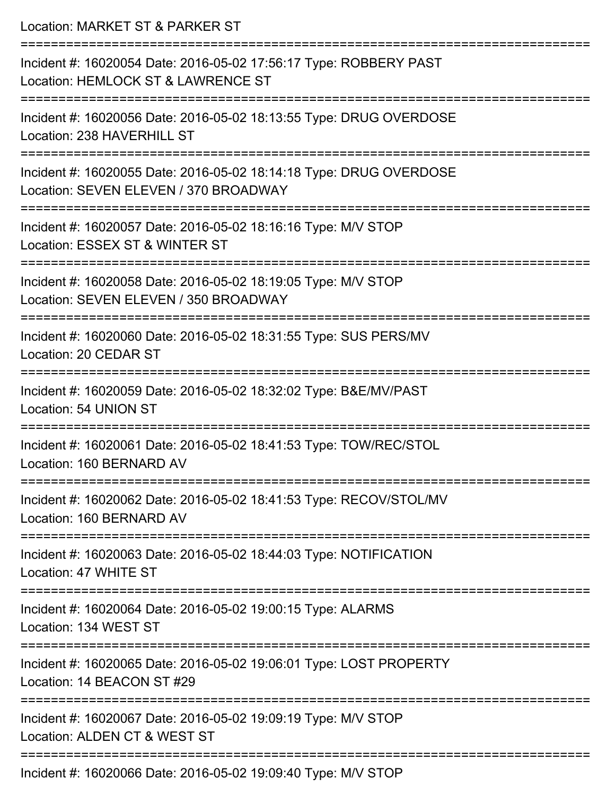| Location: MARKET ST & PARKER ST<br>--------------------------------                                                                         |
|---------------------------------------------------------------------------------------------------------------------------------------------|
| Incident #: 16020054 Date: 2016-05-02 17:56:17 Type: ROBBERY PAST<br>Location: HEMLOCK ST & LAWRENCE ST                                     |
| Incident #: 16020056 Date: 2016-05-02 18:13:55 Type: DRUG OVERDOSE<br>Location: 238 HAVERHILL ST                                            |
| Incident #: 16020055 Date: 2016-05-02 18:14:18 Type: DRUG OVERDOSE<br>Location: SEVEN ELEVEN / 370 BROADWAY<br>:=========================== |
| Incident #: 16020057 Date: 2016-05-02 18:16:16 Type: M/V STOP<br>Location: ESSEX ST & WINTER ST                                             |
| Incident #: 16020058 Date: 2016-05-02 18:19:05 Type: M/V STOP<br>Location: SEVEN ELEVEN / 350 BROADWAY                                      |
| Incident #: 16020060 Date: 2016-05-02 18:31:55 Type: SUS PERS/MV<br>Location: 20 CEDAR ST                                                   |
| Incident #: 16020059 Date: 2016-05-02 18:32:02 Type: B&E/MV/PAST<br>Location: 54 UNION ST                                                   |
| Incident #: 16020061 Date: 2016-05-02 18:41:53 Type: TOW/REC/STOL<br>Location: 160 BERNARD AV                                               |
| Incident #: 16020062 Date: 2016-05-02 18:41:53 Type: RECOV/STOL/MV<br>Location: 160 BERNARD AV                                              |
| Incident #: 16020063 Date: 2016-05-02 18:44:03 Type: NOTIFICATION<br>Location: 47 WHITE ST                                                  |
| Incident #: 16020064 Date: 2016-05-02 19:00:15 Type: ALARMS<br>Location: 134 WEST ST                                                        |
| Incident #: 16020065 Date: 2016-05-02 19:06:01 Type: LOST PROPERTY<br>Location: 14 BEACON ST #29                                            |
| Incident #: 16020067 Date: 2016-05-02 19:09:19 Type: M/V STOP<br>Location: ALDEN CT & WEST ST                                               |
| Incident #: 16020066 Date: 2016-05-02 19:09:40 Type: M/V STOP                                                                               |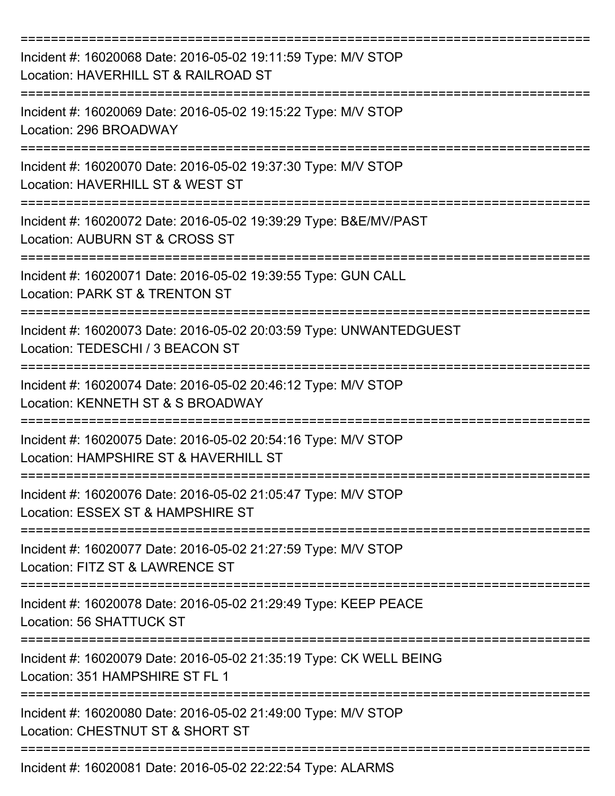| Incident #: 16020068 Date: 2016-05-02 19:11:59 Type: M/V STOP<br>Location: HAVERHILL ST & RAILROAD ST  |
|--------------------------------------------------------------------------------------------------------|
| Incident #: 16020069 Date: 2016-05-02 19:15:22 Type: M/V STOP<br>Location: 296 BROADWAY                |
| Incident #: 16020070 Date: 2016-05-02 19:37:30 Type: M/V STOP<br>Location: HAVERHILL ST & WEST ST      |
| Incident #: 16020072 Date: 2016-05-02 19:39:29 Type: B&E/MV/PAST<br>Location: AUBURN ST & CROSS ST     |
| Incident #: 16020071 Date: 2016-05-02 19:39:55 Type: GUN CALL<br>Location: PARK ST & TRENTON ST        |
| Incident #: 16020073 Date: 2016-05-02 20:03:59 Type: UNWANTEDGUEST<br>Location: TEDESCHI / 3 BEACON ST |
| Incident #: 16020074 Date: 2016-05-02 20:46:12 Type: M/V STOP<br>Location: KENNETH ST & S BROADWAY     |
| Incident #: 16020075 Date: 2016-05-02 20:54:16 Type: M/V STOP<br>Location: HAMPSHIRE ST & HAVERHILL ST |
| Incident #: 16020076 Date: 2016-05-02 21:05:47 Type: M/V STOP<br>Location: ESSEX ST & HAMPSHIRE ST     |
| Incident #: 16020077 Date: 2016-05-02 21:27:59 Type: M/V STOP<br>Location: FITZ ST & LAWRENCE ST       |
| Incident #: 16020078 Date: 2016-05-02 21:29:49 Type: KEEP PEACE<br>Location: 56 SHATTUCK ST            |
| Incident #: 16020079 Date: 2016-05-02 21:35:19 Type: CK WELL BEING<br>Location: 351 HAMPSHIRE ST FL 1  |
| Incident #: 16020080 Date: 2016-05-02 21:49:00 Type: M/V STOP<br>Location: CHESTNUT ST & SHORT ST      |
| Incident #: 16020081 Date: 2016-05-02 22:22:54 Type: ALARMS                                            |